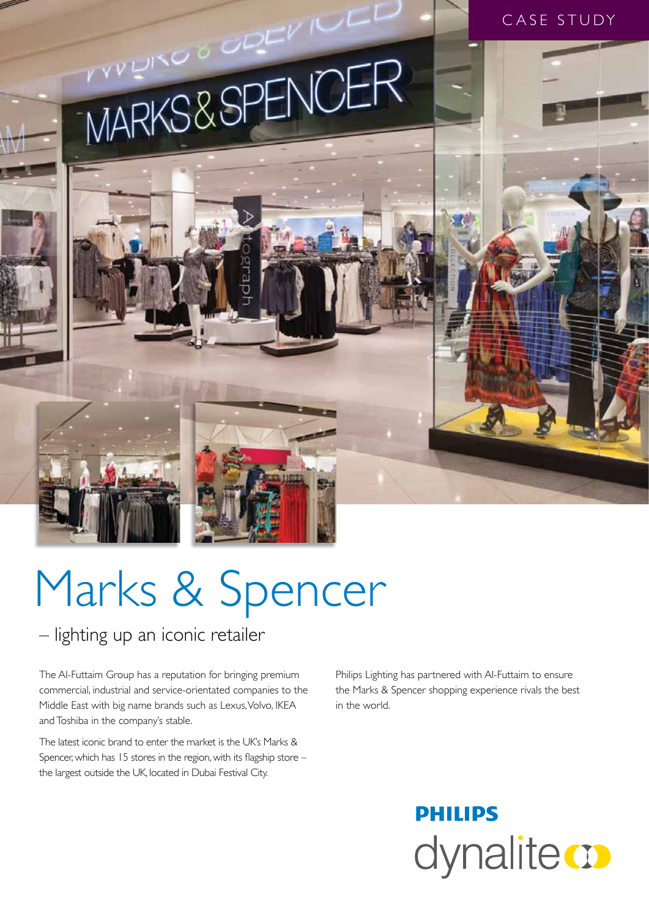#### CASE STUDY

# MARKS&SPENCER



– lighting up an iconic retailer

The Al-Futtaim Group has a reputation for bringing premium commercial, industrial and service-orientated companies to the Middle East with big name brands such as Lexus, Volvo, IKEA and Toshiba in the company's stable.

The latest iconic brand to enter the market is the UK's Marks & Spencer, which has 15 stores in the region, with its flagship store – the largest outside the UK, located in Dubai Festival City.

Philips Lighting has partnered with Al-Futtaim to ensure the Marks & Spencer shopping experience rivals the best in the world.

## **PHILIPS** dynalite **o**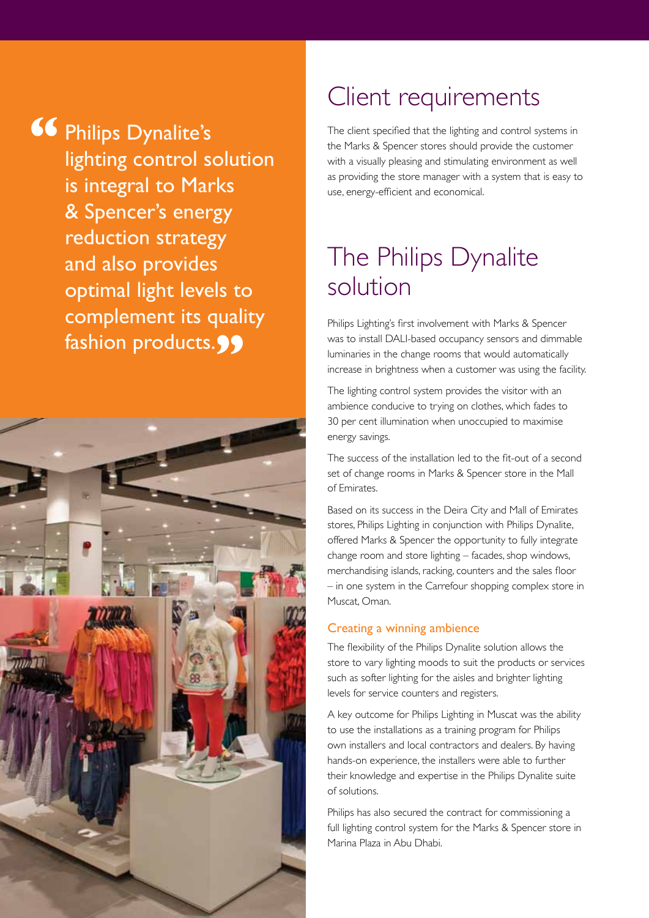Philips Dynalite's lighting control solution is integral to Marks & Spencer's energy reduction strategy and also provides optimal light levels to complement its quality fashion products.99 **"**



## Client requirements

The client specified that the lighting and control systems in the Marks & Spencer stores should provide the customer with a visually pleasing and stimulating environment as well as providing the store manager with a system that is easy to use, energy-efficient and economical.

## The Philips Dynalite solution

Philips Lighting's first involvement with Marks & Spencer was to install DALI-based occupancy sensors and dimmable luminaries in the change rooms that would automatically increase in brightness when a customer was using the facility.

The lighting control system provides the visitor with an ambience conducive to trying on clothes, which fades to 30 per cent illumination when unoccupied to maximise energy savings.

The success of the installation led to the fit-out of a second set of change rooms in Marks & Spencer store in the Mall of Emirates.

Based on its success in the Deira City and Mall of Emirates stores, Philips Lighting in conjunction with Philips Dynalite, offered Marks & Spencer the opportunity to fully integrate change room and store lighting – facades, shop windows, merchandising islands, racking, counters and the sales floor – in one system in the Carrefour shopping complex store in Muscat, Oman.

#### Creating a winning ambience

The flexibility of the Philips Dynalite solution allows the store to vary lighting moods to suit the products or services such as softer lighting for the aisles and brighter lighting levels for service counters and registers.

A key outcome for Philips Lighting in Muscat was the ability to use the installations as a training program for Philips own installers and local contractors and dealers. By having hands-on experience, the installers were able to further their knowledge and expertise in the Philips Dynalite suite of solutions.

Philips has also secured the contract for commissioning a full lighting control system for the Marks & Spencer store in Marina Plaza in Abu Dhabi.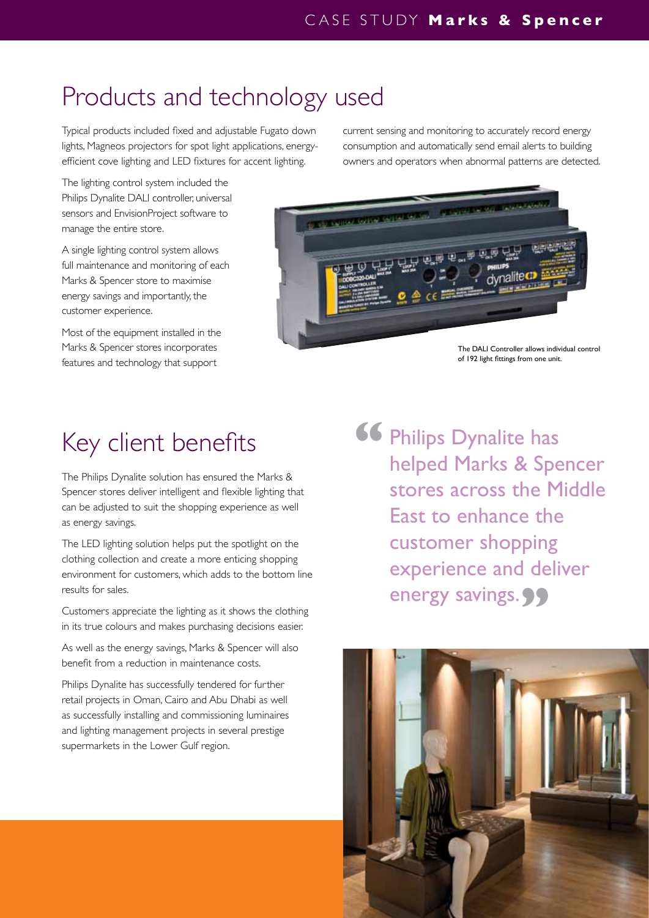### Products and technology used

Typical products included fixed and adjustable Fugato down lights, Magneos projectors for spot light applications, energyefficient cove lighting and LED fixtures for accent lighting.

The lighting control system included the Philips Dynalite DALI controller, universal sensors and EnvisionProject software to manage the entire store.

A single lighting control system allows full maintenance and monitoring of each Marks & Spencer store to maximise energy savings and importantly, the customer experience.

Most of the equipment installed in the Marks & Spencer stores incorporates features and technology that support

current sensing and monitoring to accurately record energy consumption and automatically send email alerts to building owners and operators when abnormal patterns are detected.



of 192 light fittings from one unit.

## Key client benefits

The Philips Dynalite solution has ensured the Marks & Spencer stores deliver intelligent and flexible lighting that can be adjusted to suit the shopping experience as well as energy savings.

The LED lighting solution helps put the spotlight on the clothing collection and create a more enticing shopping environment for customers, which adds to the bottom line results for sales.

Customers appreciate the lighting as it shows the clothing in its true colours and makes purchasing decisions easier.

As well as the energy savings, Marks & Spencer will also benefit from a reduction in maintenance costs.

Philips Dynalite has successfully tendered for further retail projects in Oman, Cairo and Abu Dhabi as well as successfully installing and commissioning luminaires and lighting management projects in several prestige supermarkets in the Lower Gulf region.

Philips Dynalite has helped Marks & Spencer stores across the Middle East to enhance the customer shopping experience and deliver energy savings. 99 **"**